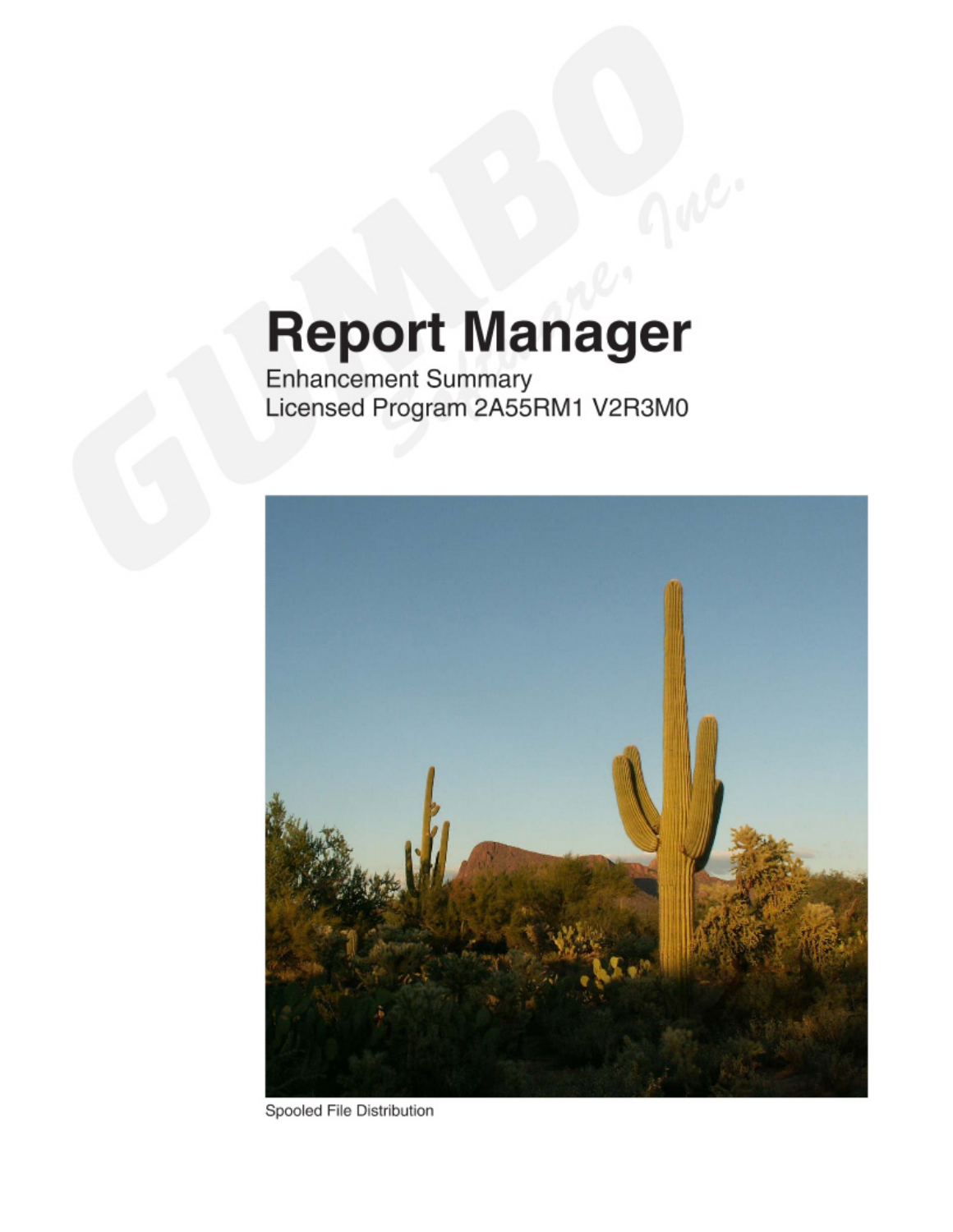# **Report Manager**<br>Enhancement Summary<br>Licensed Program 2A55RM1 V2R3M0



Spooled File Distribution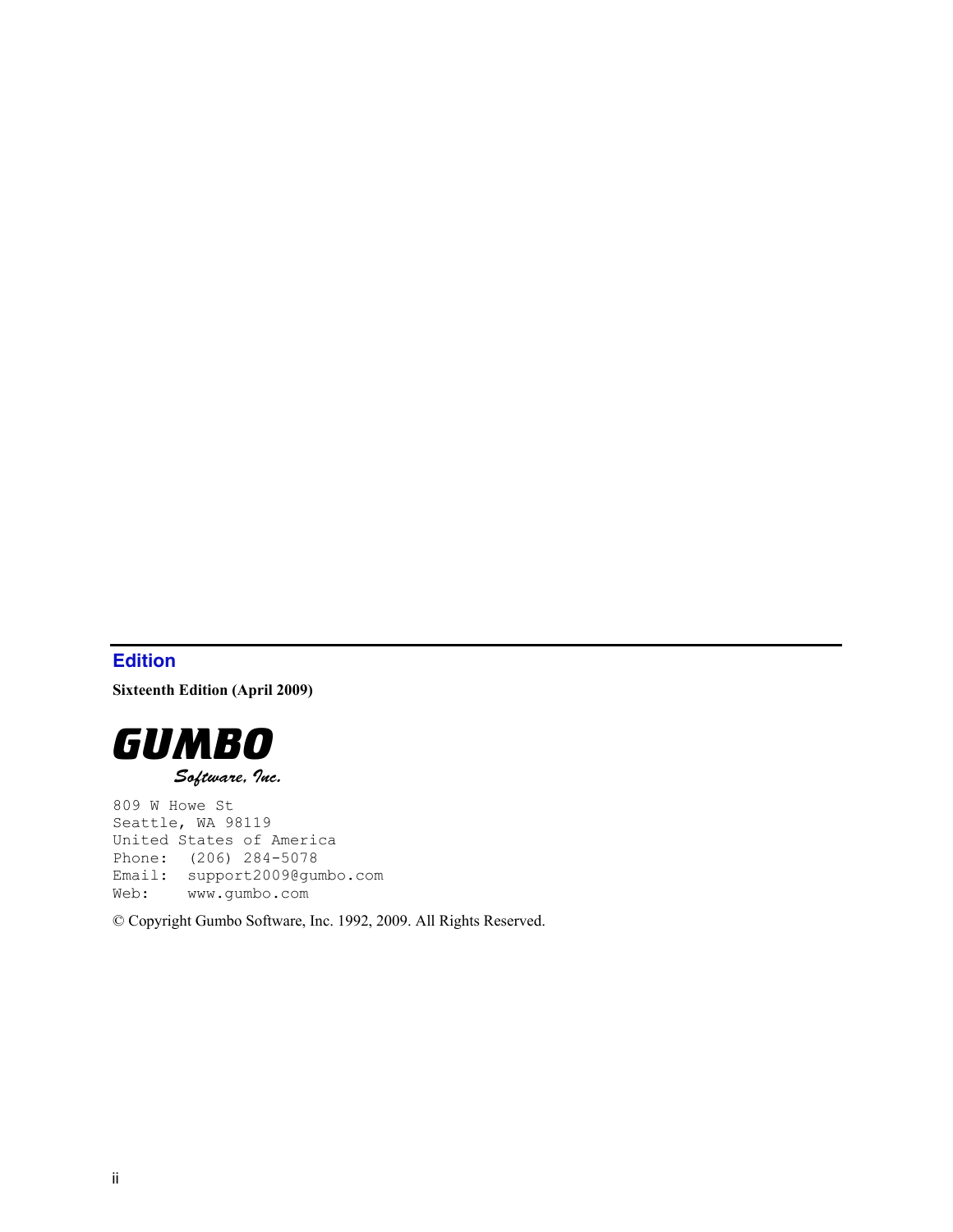# <span id="page-1-0"></span>**Edition**

**Sixteenth Edition (April 2009)** 



809 W Howe St Seattle, WA 98119 United States of America Phone: (206) 284-5078 Email: support2009@gumbo.com Web: www.gumbo.com

© Copyright Gumbo Software, Inc. 1992, 2009. All Rights Reserved.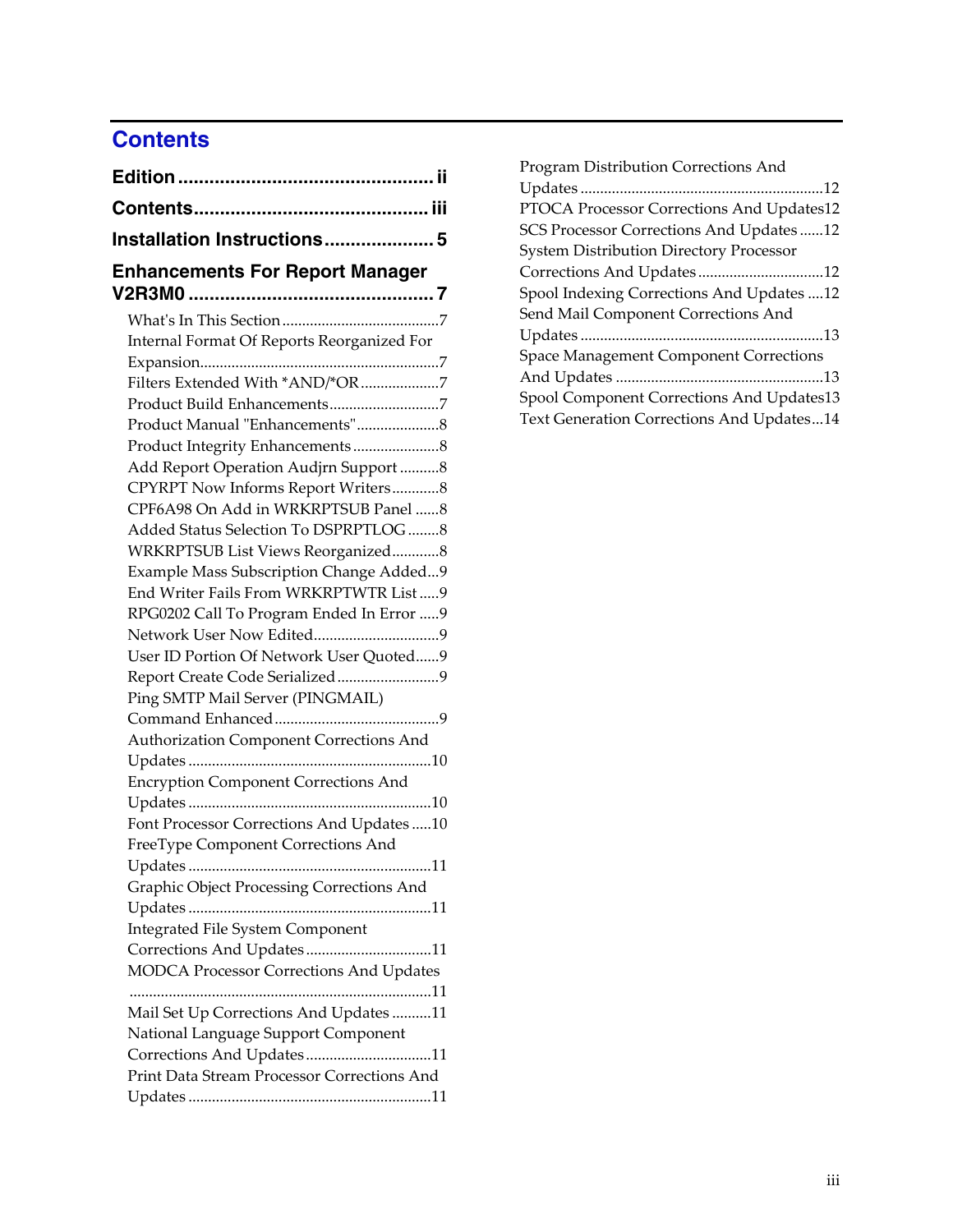# <span id="page-2-0"></span>**Contents**

| Installation Instructions5                                       |
|------------------------------------------------------------------|
| <b>Enhancements For Report Manager</b>                           |
|                                                                  |
| Internal Format Of Reports Reorganized For                       |
|                                                                  |
| Filters Extended With *AND/*OR7                                  |
| Product Build Enhancements7                                      |
|                                                                  |
|                                                                  |
| Add Report Operation Audjrn Support 8                            |
| CPYRPT Now Informs Report Writers8                               |
| CPF6A98 On Add in WRKRPTSUB Panel 8                              |
| Added Status Selection To DSPRPTLOG 8                            |
| WRKRPTSUB List Views Reorganized8                                |
| Example Mass Subscription Change Added9                          |
| End Writer Fails From WRKRPTWTR List  9                          |
| RPG0202 Call To Program Ended In Error 9                         |
|                                                                  |
| User ID Portion Of Network User Quoted9                          |
| Report Create Code Serialized9                                   |
| Ping SMTP Mail Server (PINGMAIL)                                 |
|                                                                  |
| Authorization Component Corrections And                          |
|                                                                  |
| <b>Encryption Component Corrections And</b>                      |
|                                                                  |
| Font Processor Corrections And Updates10                         |
| FreeType Component Corrections And                               |
|                                                                  |
| Graphic Object Processing Corrections And                        |
|                                                                  |
| <b>Integrated File System Component</b>                          |
| Corrections And Updates11                                        |
| <b>MODCA Processor Corrections And Updates</b>                   |
|                                                                  |
| Mail Set Up Corrections And Updates 11                           |
| National Language Support Component<br>Corrections And Updates11 |
| Print Data Stream Processor Corrections And                      |
|                                                                  |
|                                                                  |

| Program Distribution Corrections And           |
|------------------------------------------------|
|                                                |
| PTOCA Processor Corrections And Updates12      |
| SCS Processor Corrections And Updates12        |
| <b>System Distribution Directory Processor</b> |
| Corrections And Updates12                      |
| Spool Indexing Corrections And Updates 12      |
| Send Mail Component Corrections And            |
|                                                |
| <b>Space Management Component Corrections</b>  |
|                                                |
| Spool Component Corrections And Updates13      |
| Text Generation Corrections And Updates14      |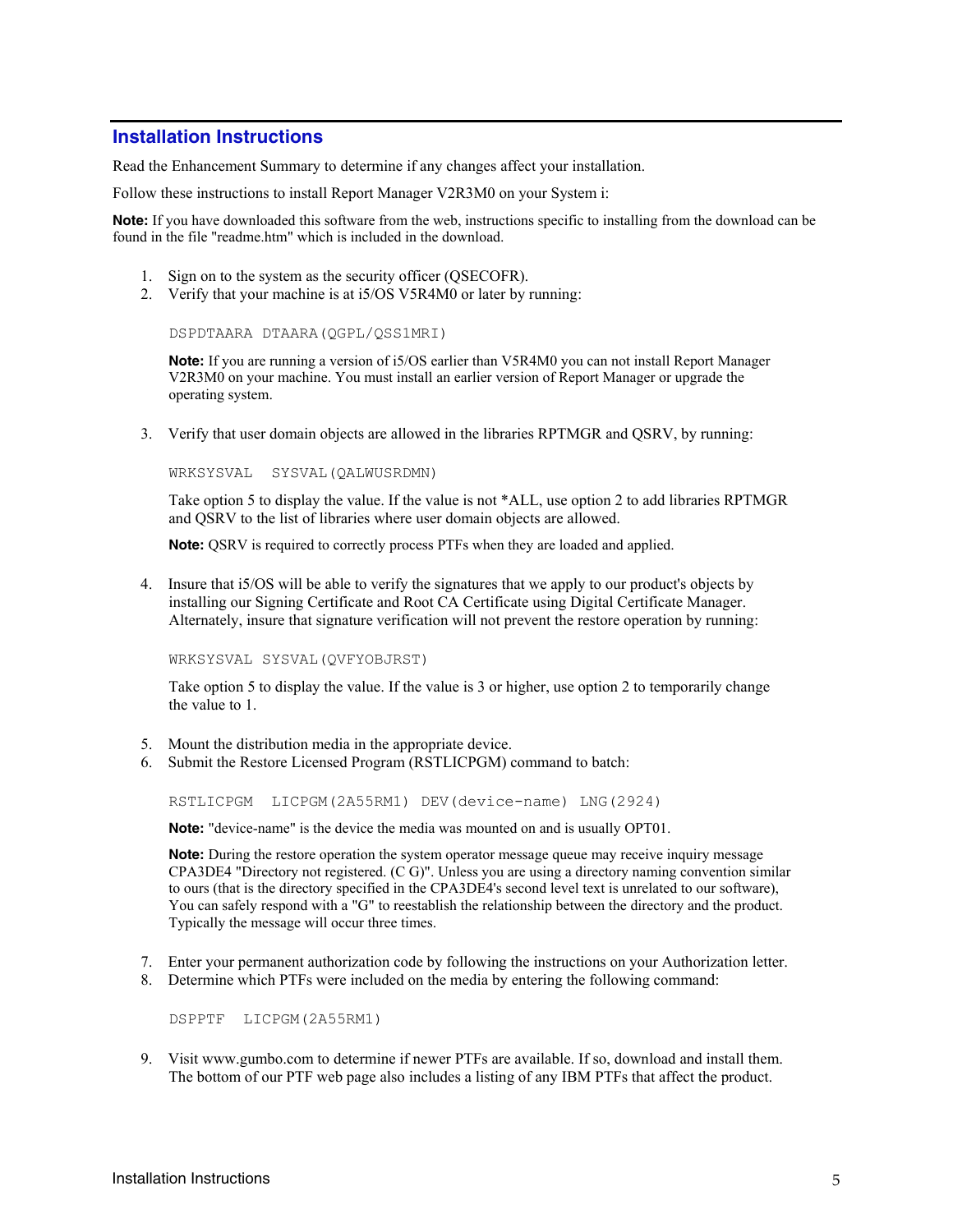## <span id="page-4-0"></span>**Installation Instructions**

Read the Enhancement Summary to determine if any changes affect your installation.

Follow these instructions to install Report Manager V2R3M0 on your System i:

**Note:** If you have downloaded this software from the web, instructions specific to installing from the download can be found in the file "readme.htm" which is included in the download.

- 1. Sign on to the system as the security officer (QSECOFR).
- 2. Verify that your machine is at i5/OS V5R4M0 or later by running:

DSPDTAARA DTAARA(QGPL/QSS1MRI)

**Note:** If you are running a version of i5/OS earlier than V5R4M0 you can not install Report Manager V2R3M0 on your machine. You must install an earlier version of Report Manager or upgrade the operating system.

3. Verify that user domain objects are allowed in the libraries RPTMGR and QSRV, by running:

WRKSYSVAL SYSVAL(QALWUSRDMN)

Take option 5 to display the value. If the value is not \*ALL, use option 2 to add libraries RPTMGR and QSRV to the list of libraries where user domain objects are allowed.

**Note:** QSRV is required to correctly process PTFs when they are loaded and applied.

4. Insure that i5/OS will be able to verify the signatures that we apply to our product's objects by installing our Signing Certificate and Root CA Certificate using Digital Certificate Manager. Alternately, insure that signature verification will not prevent the restore operation by running:

WRKSYSVAL SYSVAL(QVFYOBJRST)

Take option 5 to display the value. If the value is 3 or higher, use option 2 to temporarily change the value to 1.

- 5. Mount the distribution media in the appropriate device.
- 6. Submit the Restore Licensed Program (RSTLICPGM) command to batch:

RSTLICPGM LICPGM(2A55RM1) DEV(device-name) LNG(2924)

**Note:** "device-name" is the device the media was mounted on and is usually OPT01.

**Note:** During the restore operation the system operator message queue may receive inquiry message CPA3DE4 "Directory not registered. (C G)". Unless you are using a directory naming convention similar to ours (that is the directory specified in the CPA3DE4's second level text is unrelated to our software), You can safely respond with a "G" to reestablish the relationship between the directory and the product. Typically the message will occur three times.

- 7. Enter your permanent authorization code by following the instructions on your Authorization letter.
- 8. Determine which PTFs were included on the media by entering the following command:

DSPPTF LICPGM(2A55RM1)

9. Visit www.gumbo.com to determine if newer PTFs are available. If so, download and install them. The bottom of our PTF web page also includes a listing of any IBM PTFs that affect the product.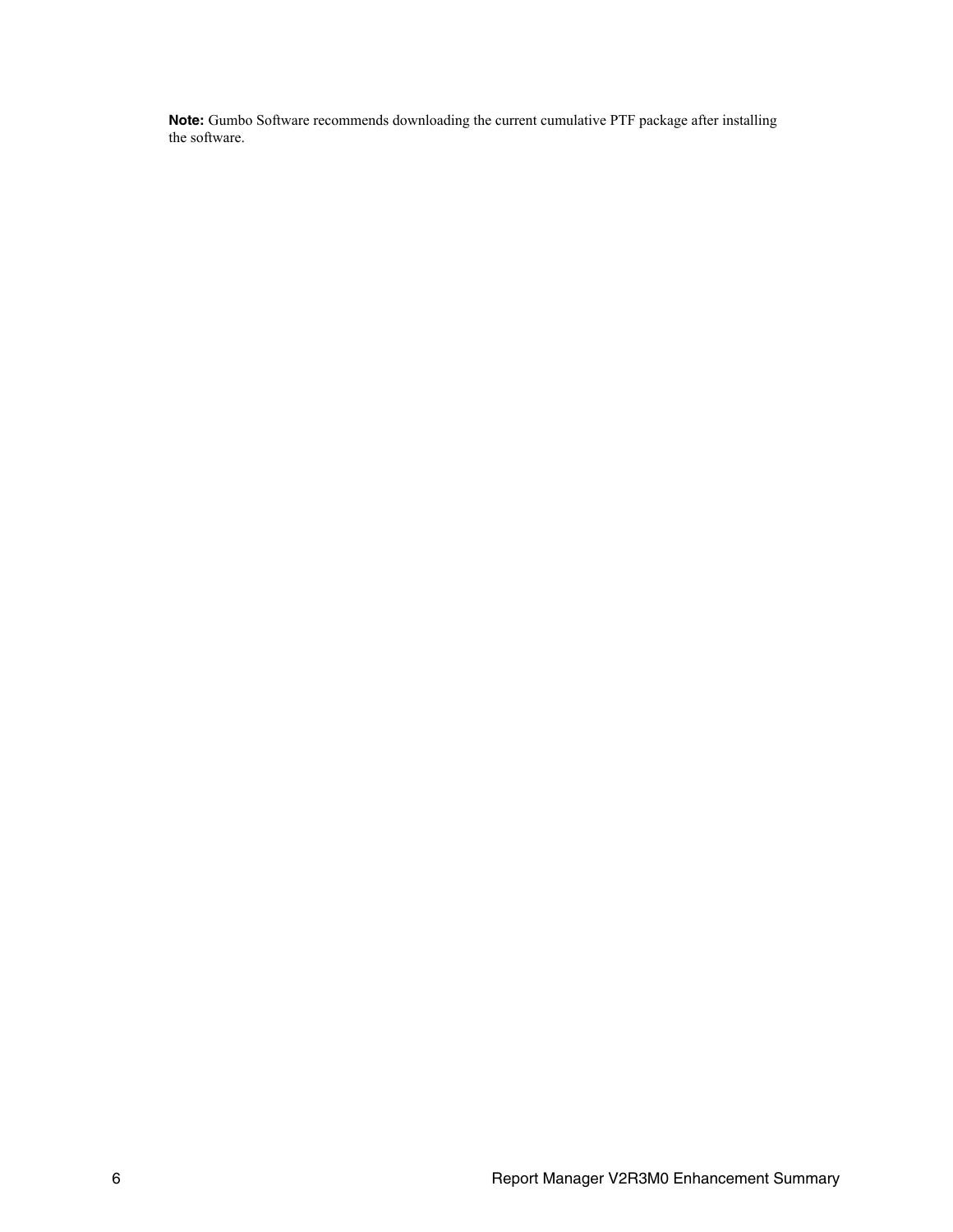**Note:** Gumbo Software recommends downloading the current cumulative PTF package after installing the software.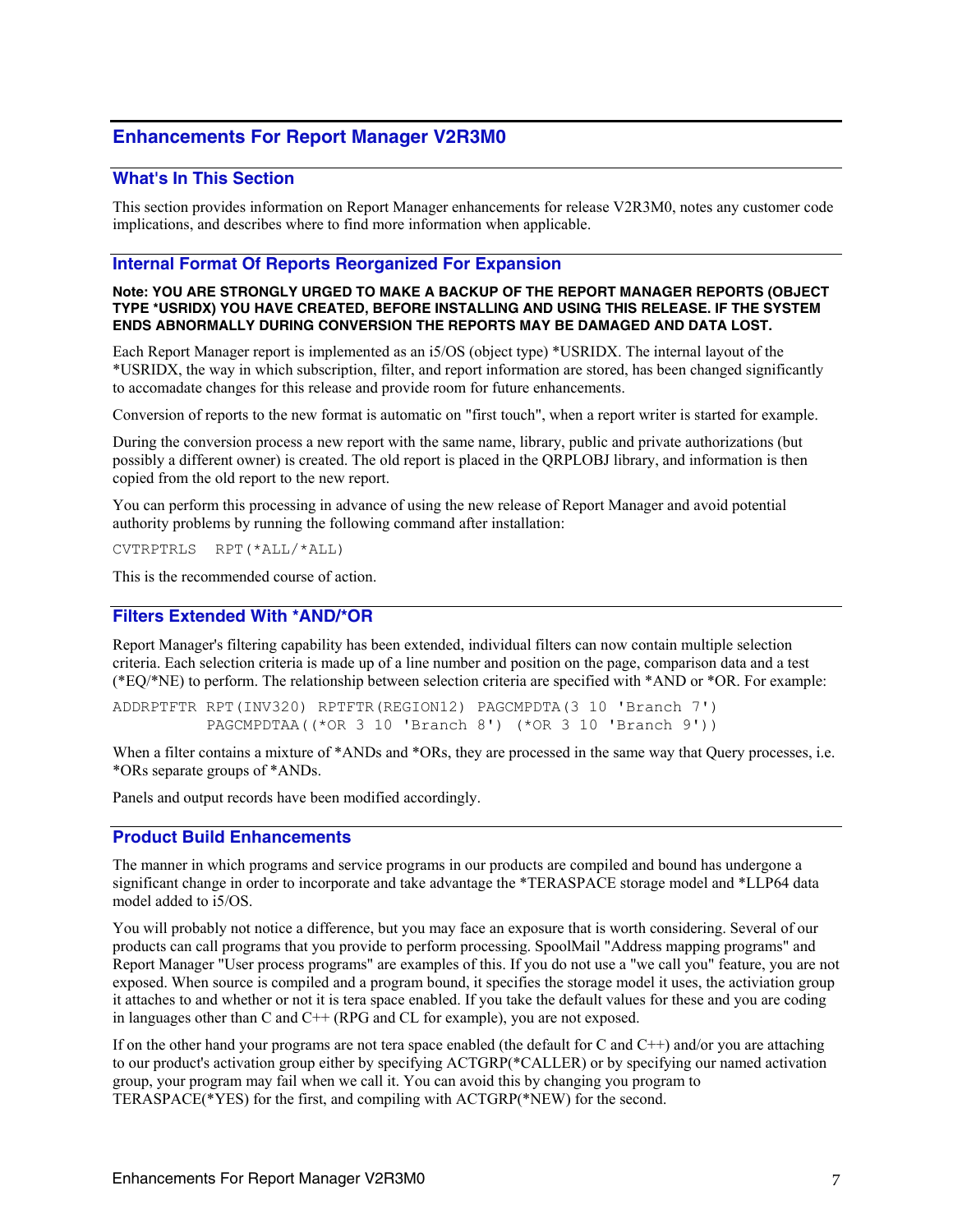# <span id="page-6-0"></span>**Enhancements For Report Manager V2R3M0**

#### <span id="page-6-1"></span>**What's In This Section**

This section provides information on Report Manager enhancements for release V2R3M0, notes any customer code implications, and describes where to find more information when applicable.

#### <span id="page-6-2"></span>**Internal Format Of Reports Reorganized For Expansion**

#### **Note: YOU ARE STRONGLY URGED TO MAKE A BACKUP OF THE REPORT MANAGER REPORTS (OBJECT TYPE \*USRIDX) YOU HAVE CREATED, BEFORE INSTALLING AND USING THIS RELEASE. IF THE SYSTEM ENDS ABNORMALLY DURING CONVERSION THE REPORTS MAY BE DAMAGED AND DATA LOST.**

Each Report Manager report is implemented as an i5/OS (object type) \*USRIDX. The internal layout of the \*USRIDX, the way in which subscription, filter, and report information are stored, has been changed significantly to accomadate changes for this release and provide room for future enhancements.

Conversion of reports to the new format is automatic on "first touch", when a report writer is started for example.

During the conversion process a new report with the same name, library, public and private authorizations (but possibly a different owner) is created. The old report is placed in the QRPLOBJ library, and information is then copied from the old report to the new report.

You can perform this processing in advance of using the new release of Report Manager and avoid potential authority problems by running the following command after installation:

CVTRPTRLS RPT(\*ALL/\*ALL)

This is the recommended course of action.

#### <span id="page-6-3"></span>**Filters Extended With \*AND/\*OR**

Report Manager's filtering capability has been extended, individual filters can now contain multiple selection criteria. Each selection criteria is made up of a line number and position on the page, comparison data and a test (\*EQ/\*NE) to perform. The relationship between selection criteria are specified with \*AND or \*OR. For example:

ADDRPTFTR RPT(INV320) RPTFTR(REGION12) PAGCMPDTA(3 10 'Branch 7') PAGCMPDTAA((\*OR 3 10 'Branch 8') (\*OR 3 10 'Branch 9'))

When a filter contains a mixture of \*ANDs and \*ORs, they are processed in the same way that Query processes, i.e. \*ORs separate groups of \*ANDs.

Panels and output records have been modified accordingly.

#### <span id="page-6-4"></span>**Product Build Enhancements**

The manner in which programs and service programs in our products are compiled and bound has undergone a significant change in order to incorporate and take advantage the \*TERASPACE storage model and \*LLP64 data model added to i5/OS.

You will probably not notice a difference, but you may face an exposure that is worth considering. Several of our products can call programs that you provide to perform processing. SpoolMail "Address mapping programs" and Report Manager "User process programs" are examples of this. If you do not use a "we call you" feature, you are not exposed. When source is compiled and a program bound, it specifies the storage model it uses, the activiation group it attaches to and whether or not it is tera space enabled. If you take the default values for these and you are coding in languages other than C and  $C++$  (RPG and CL for example), you are not exposed.

If on the other hand your programs are not tera space enabled (the default for C and  $C++$ ) and/or you are attaching to our product's activation group either by specifying ACTGRP(\*CALLER) or by specifying our named activation group, your program may fail when we call it. You can avoid this by changing you program to TERASPACE(\*YES) for the first, and compiling with ACTGRP(\*NEW) for the second.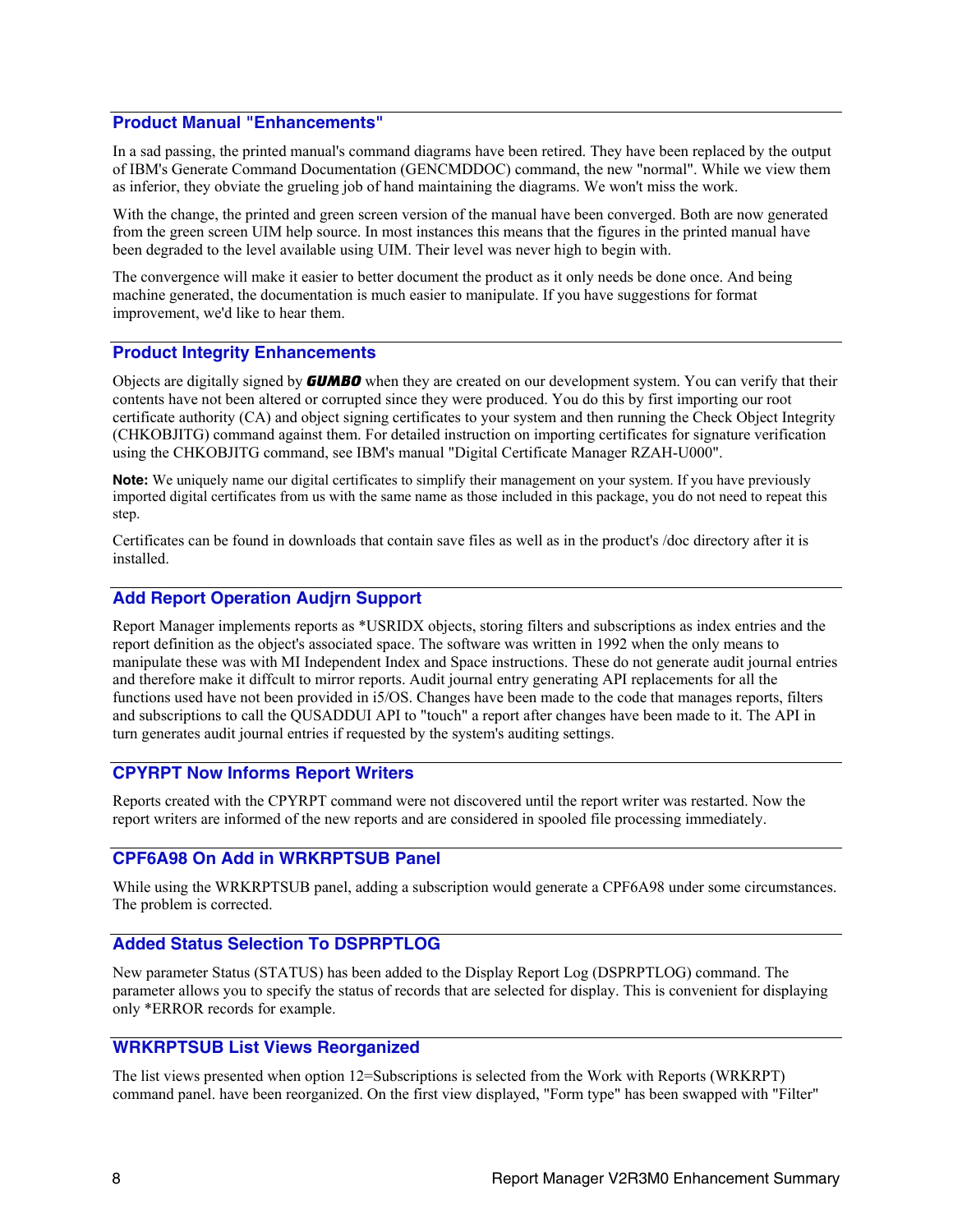#### <span id="page-7-0"></span>**Product Manual "Enhancements"**

In a sad passing, the printed manual's command diagrams have been retired. They have been replaced by the output of IBM's Generate Command Documentation (GENCMDDOC) command, the new "normal". While we view them as inferior, they obviate the grueling job of hand maintaining the diagrams. We won't miss the work.

With the change, the printed and green screen version of the manual have been converged. Both are now generated from the green screen UIM help source. In most instances this means that the figures in the printed manual have been degraded to the level available using UIM. Their level was never high to begin with.

The convergence will make it easier to better document the product as it only needs be done once. And being machine generated, the documentation is much easier to manipulate. If you have suggestions for format improvement, we'd like to hear them.

#### <span id="page-7-1"></span>**Product Integrity Enhancements**

Objects are digitally signed by *GUMBO* when they are created on our development system. You can verify that their contents have not been altered or corrupted since they were produced. You do this by first importing our root certificate authority (CA) and object signing certificates to your system and then running the Check Object Integrity (CHKOBJITG) command against them. For detailed instruction on importing certificates for signature verification using the CHKOBJITG command, see IBM's manual "Digital Certificate Manager RZAH-U000".

**Note:** We uniquely name our digital certificates to simplify their management on your system. If you have previously imported digital certificates from us with the same name as those included in this package, you do not need to repeat this step.

Certificates can be found in downloads that contain save files as well as in the product's /doc directory after it is installed.

#### <span id="page-7-2"></span>**Add Report Operation Audjrn Support**

Report Manager implements reports as \*USRIDX objects, storing filters and subscriptions as index entries and the report definition as the object's associated space. The software was written in 1992 when the only means to manipulate these was with MI Independent Index and Space instructions. These do not generate audit journal entries and therefore make it diffcult to mirror reports. Audit journal entry generating API replacements for all the functions used have not been provided in i5/OS. Changes have been made to the code that manages reports, filters and subscriptions to call the QUSADDUI API to "touch" a report after changes have been made to it. The API in turn generates audit journal entries if requested by the system's auditing settings.

#### <span id="page-7-3"></span>**CPYRPT Now Informs Report Writers**

Reports created with the CPYRPT command were not discovered until the report writer was restarted. Now the report writers are informed of the new reports and are considered in spooled file processing immediately.

#### <span id="page-7-4"></span>**CPF6A98 On Add in WRKRPTSUB Panel**

While using the WRKRPTSUB panel, adding a subscription would generate a CPF6A98 under some circumstances. The problem is corrected.

### <span id="page-7-5"></span>**Added Status Selection To DSPRPTLOG**

New parameter Status (STATUS) has been added to the Display Report Log (DSPRPTLOG) command. The parameter allows you to specify the status of records that are selected for display. This is convenient for displaying only \*ERROR records for example.

#### <span id="page-7-6"></span>**WRKRPTSUB List Views Reorganized**

The list views presented when option 12=Subscriptions is selected from the Work with Reports (WRKRPT) command panel. have been reorganized. On the first view displayed, "Form type" has been swapped with "Filter"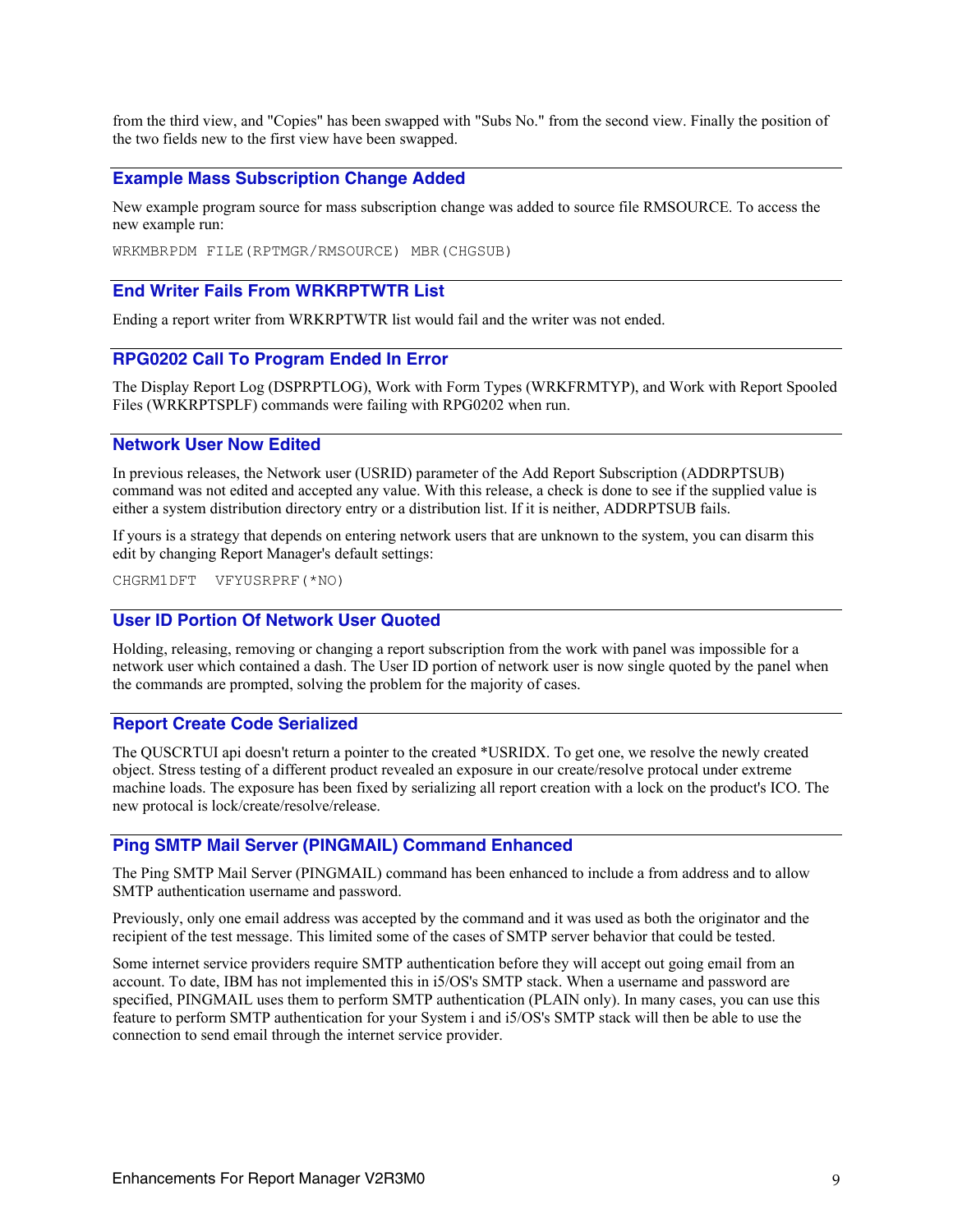from the third view, and "Copies" has been swapped with "Subs No." from the second view. Finally the position of the two fields new to the first view have been swapped.

#### <span id="page-8-0"></span>**Example Mass Subscription Change Added**

New example program source for mass subscription change was added to source file RMSOURCE. To access the new example run:

WRKMBRPDM FILE(RPTMGR/RMSOURCE) MBR(CHGSUB)

#### <span id="page-8-1"></span>**End Writer Fails From WRKRPTWTR List**

Ending a report writer from WRKRPTWTR list would fail and the writer was not ended.

#### <span id="page-8-2"></span>**RPG0202 Call To Program Ended In Error**

The Display Report Log (DSPRPTLOG), Work with Form Types (WRKFRMTYP), and Work with Report Spooled Files (WRKRPTSPLF) commands were failing with RPG0202 when run.

#### <span id="page-8-3"></span>**Network User Now Edited**

In previous releases, the Network user (USRID) parameter of the Add Report Subscription (ADDRPTSUB) command was not edited and accepted any value. With this release, a check is done to see if the supplied value is either a system distribution directory entry or a distribution list. If it is neither, ADDRPTSUB fails.

If yours is a strategy that depends on entering network users that are unknown to the system, you can disarm this edit by changing Report Manager's default settings:

CHGRM1DFT VFYUSRPRF(\*NO)

#### <span id="page-8-4"></span>**User ID Portion Of Network User Quoted**

Holding, releasing, removing or changing a report subscription from the work with panel was impossible for a network user which contained a dash. The User ID portion of network user is now single quoted by the panel when the commands are prompted, solving the problem for the majority of cases.

#### <span id="page-8-5"></span>**Report Create Code Serialized**

The QUSCRTUI api doesn't return a pointer to the created \*USRIDX. To get one, we resolve the newly created object. Stress testing of a different product revealed an exposure in our create/resolve protocal under extreme machine loads. The exposure has been fixed by serializing all report creation with a lock on the product's ICO. The new protocal is lock/create/resolve/release.

#### <span id="page-8-6"></span>**Ping SMTP Mail Server (PINGMAIL) Command Enhanced**

The Ping SMTP Mail Server (PINGMAIL) command has been enhanced to include a from address and to allow SMTP authentication username and password.

Previously, only one email address was accepted by the command and it was used as both the originator and the recipient of the test message. This limited some of the cases of SMTP server behavior that could be tested.

Some internet service providers require SMTP authentication before they will accept out going email from an account. To date, IBM has not implemented this in i5/OS's SMTP stack. When a username and password are specified, PINGMAIL uses them to perform SMTP authentication (PLAIN only). In many cases, you can use this feature to perform SMTP authentication for your System i and i5/OS's SMTP stack will then be able to use the connection to send email through the internet service provider.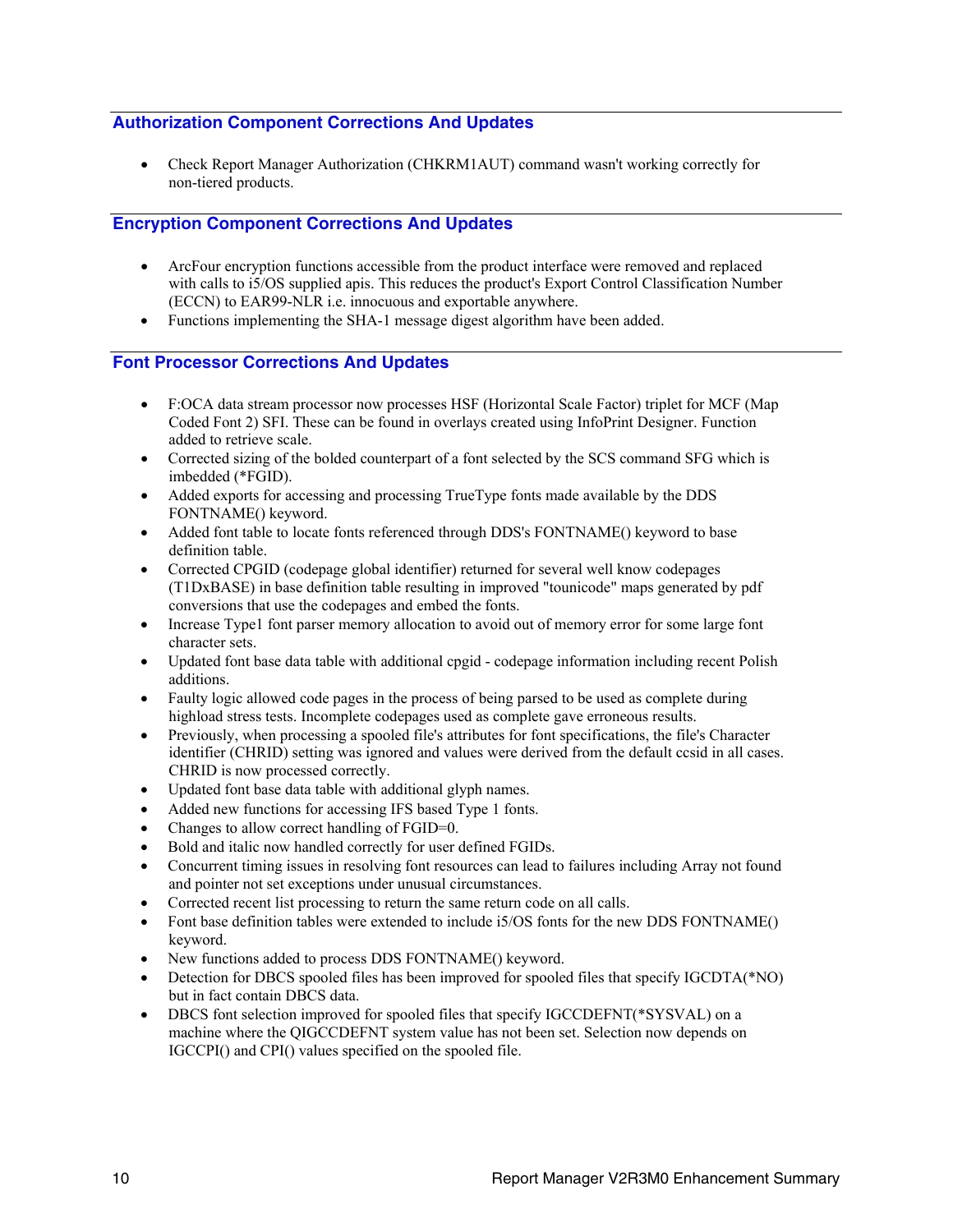# <span id="page-9-0"></span>**Authorization Component Corrections And Updates**

 Check Report Manager Authorization (CHKRM1AUT) command wasn't working correctly for non-tiered products.

#### <span id="page-9-1"></span>**Encryption Component Corrections And Updates**

- ArcFour encryption functions accessible from the product interface were removed and replaced with calls to i5/OS supplied apis. This reduces the product's Export Control Classification Number (ECCN) to EAR99-NLR i.e. innocuous and exportable anywhere.
- Functions implementing the SHA-1 message digest algorithm have been added.

#### <span id="page-9-2"></span>**Font Processor Corrections And Updates**

- F:OCA data stream processor now processes HSF (Horizontal Scale Factor) triplet for MCF (Map Coded Font 2) SFI. These can be found in overlays created using InfoPrint Designer. Function added to retrieve scale.
- Corrected sizing of the bolded counterpart of a font selected by the SCS command SFG which is imbedded (\*FGID).
- Added exports for accessing and processing TrueType fonts made available by the DDS FONTNAME() keyword.
- Added font table to locate fonts referenced through DDS's FONTNAME() keyword to base definition table.
- Corrected CPGID (codepage global identifier) returned for several well know codepages (T1DxBASE) in base definition table resulting in improved "tounicode" maps generated by pdf conversions that use the codepages and embed the fonts.
- Increase Type1 font parser memory allocation to avoid out of memory error for some large font character sets.
- Updated font base data table with additional cpgid codepage information including recent Polish additions.
- Faulty logic allowed code pages in the process of being parsed to be used as complete during highload stress tests. Incomplete codepages used as complete gave erroneous results.
- Previously, when processing a spooled file's attributes for font specifications, the file's Character identifier (CHRID) setting was ignored and values were derived from the default ccsid in all cases. CHRID is now processed correctly.
- Updated font base data table with additional glyph names.
- Added new functions for accessing IFS based Type 1 fonts.
- Changes to allow correct handling of FGID=0.
- Bold and italic now handled correctly for user defined FGIDs.
- Concurrent timing issues in resolving font resources can lead to failures including Array not found and pointer not set exceptions under unusual circumstances.
- Corrected recent list processing to return the same return code on all calls.
- Font base definition tables were extended to include i5/OS fonts for the new DDS FONTNAME() keyword.
- New functions added to process DDS FONTNAME() keyword.
- Detection for DBCS spooled files has been improved for spooled files that specify IGCDTA(\*NO) but in fact contain DBCS data.
- DBCS font selection improved for spooled files that specify IGCCDEFNT(\*SYSVAL) on a machine where the QIGCCDEFNT system value has not been set. Selection now depends on IGCCPI() and CPI() values specified on the spooled file.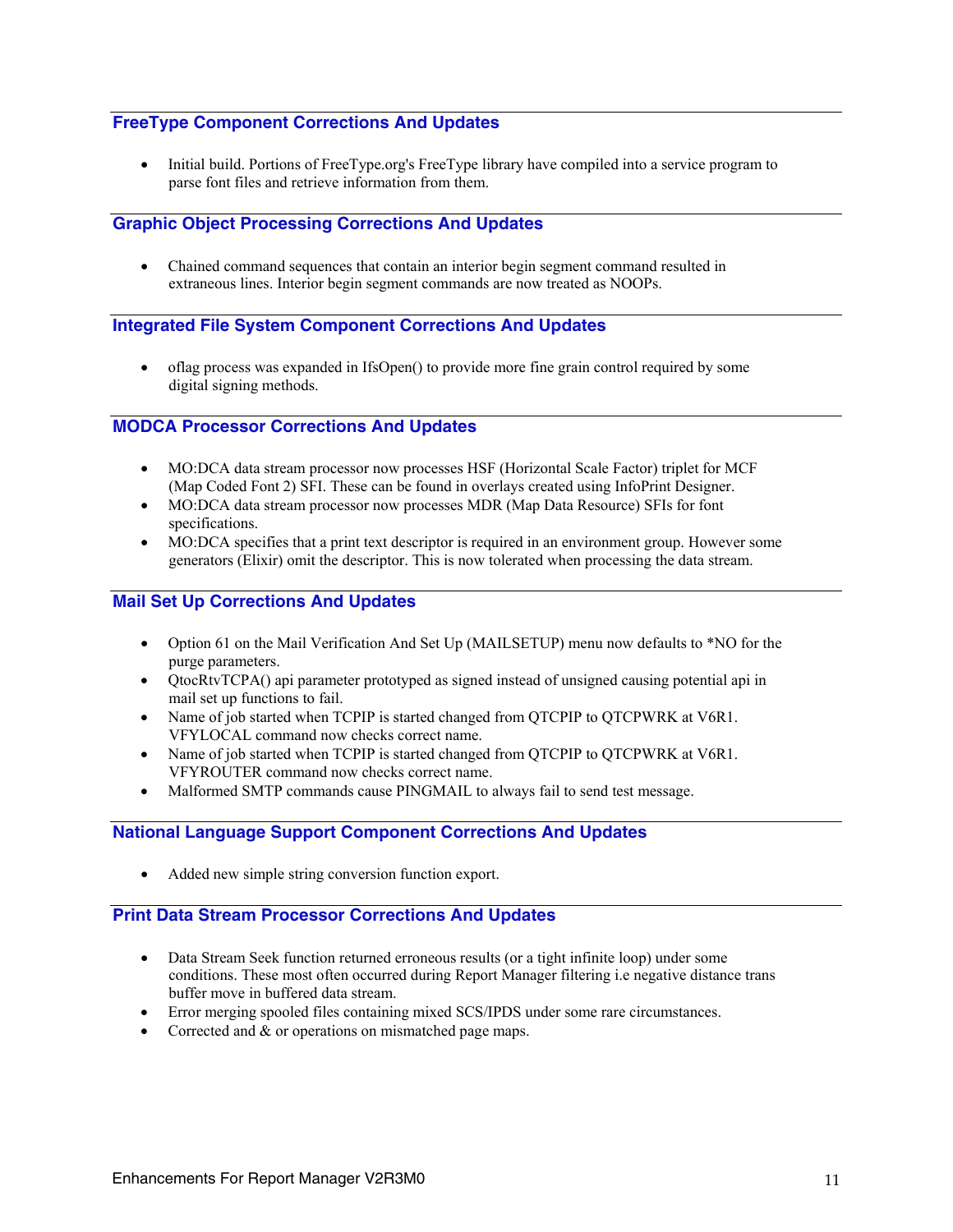### <span id="page-10-0"></span>**FreeType Component Corrections And Updates**

 Initial build. Portions of FreeType.org's FreeType library have compiled into a service program to parse font files and retrieve information from them.

#### <span id="page-10-1"></span>**Graphic Object Processing Corrections And Updates**

 Chained command sequences that contain an interior begin segment command resulted in extraneous lines. Interior begin segment commands are now treated as NOOPs.

#### <span id="page-10-2"></span>**Integrated File System Component Corrections And Updates**

 oflag process was expanded in IfsOpen() to provide more fine grain control required by some digital signing methods.

#### <span id="page-10-3"></span>**MODCA Processor Corrections And Updates**

- MO:DCA data stream processor now processes HSF (Horizontal Scale Factor) triplet for MCF (Map Coded Font 2) SFI. These can be found in overlays created using InfoPrint Designer.
- MO:DCA data stream processor now processes MDR (Map Data Resource) SFIs for font specifications.
- MO:DCA specifies that a print text descriptor is required in an environment group. However some generators (Elixir) omit the descriptor. This is now tolerated when processing the data stream.

#### <span id="page-10-4"></span>**Mail Set Up Corrections And Updates**

- Option 61 on the Mail Verification And Set Up (MAILSETUP) menu now defaults to \*NO for the purge parameters.
- QtocRtvTCPA() api parameter prototyped as signed instead of unsigned causing potential api in mail set up functions to fail.
- Name of job started when TCPIP is started changed from QTCPIP to QTCPWRK at V6R1. VFYLOCAL command now checks correct name.
- Name of job started when TCPIP is started changed from QTCPIP to QTCPWRK at V6R1. VFYROUTER command now checks correct name.
- Malformed SMTP commands cause PINGMAIL to always fail to send test message.

#### <span id="page-10-5"></span>**National Language Support Component Corrections And Updates**

Added new simple string conversion function export.

#### <span id="page-10-6"></span>**Print Data Stream Processor Corrections And Updates**

- Data Stream Seek function returned erroneous results (or a tight infinite loop) under some conditions. These most often occurred during Report Manager filtering i.e negative distance trans buffer move in buffered data stream.
- Error merging spooled files containing mixed SCS/IPDS under some rare circumstances.
- Corrected and  $&$  or operations on mismatched page maps.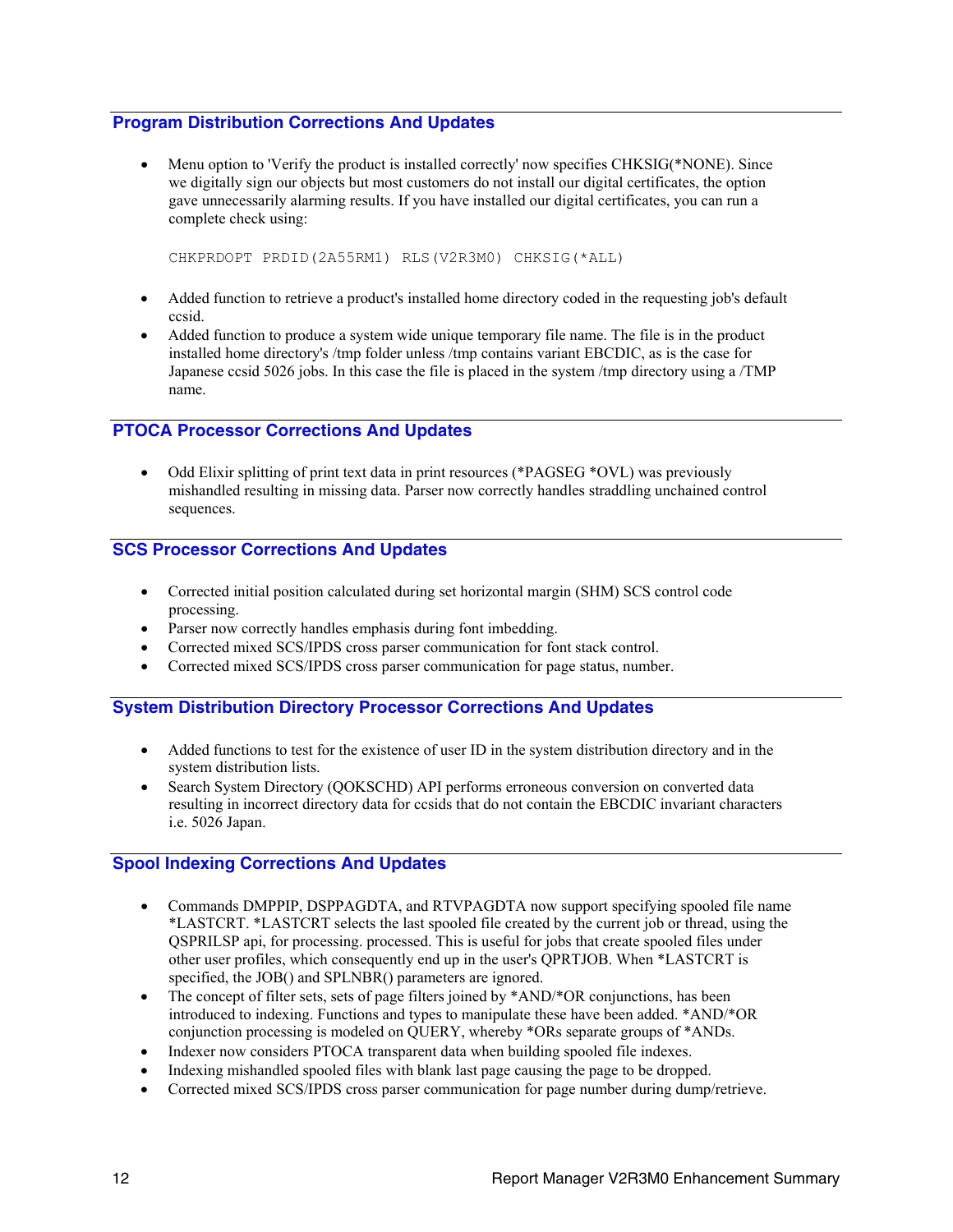# <span id="page-11-0"></span>**Program Distribution Corrections And Updates**

 Menu option to 'Verify the product is installed correctly' now specifies CHKSIG(\*NONE). Since we digitally sign our objects but most customers do not install our digital certificates, the option gave unnecessarily alarming results. If you have installed our digital certificates, you can run a complete check using:

```
CHKPRDOPT PRDID(2A55RM1) RLS(V2R3M0) CHKSIG(*ALL)
```
- Added function to retrieve a product's installed home directory coded in the requesting job's default ccsid.
- Added function to produce a system wide unique temporary file name. The file is in the product installed home directory's /tmp folder unless /tmp contains variant EBCDIC, as is the case for Japanese ccsid 5026 jobs. In this case the file is placed in the system /tmp directory using a /TMP name.

#### <span id="page-11-1"></span>**PTOCA Processor Corrections And Updates**

 Odd Elixir splitting of print text data in print resources (\*PAGSEG \*OVL) was previously mishandled resulting in missing data. Parser now correctly handles straddling unchained control sequences.

# <span id="page-11-2"></span>**SCS Processor Corrections And Updates**

- Corrected initial position calculated during set horizontal margin (SHM) SCS control code processing.
- Parser now correctly handles emphasis during font imbedding.
- Corrected mixed SCS/IPDS cross parser communication for font stack control.
- Corrected mixed SCS/IPDS cross parser communication for page status, number.

# <span id="page-11-3"></span>**System Distribution Directory Processor Corrections And Updates**

- Added functions to test for the existence of user ID in the system distribution directory and in the system distribution lists.
- Search System Directory (QOKSCHD) API performs erroneous conversion on converted data resulting in incorrect directory data for ccsids that do not contain the EBCDIC invariant characters i.e. 5026 Japan.

#### <span id="page-11-4"></span>**Spool Indexing Corrections And Updates**

- Commands DMPPIP, DSPPAGDTA, and RTVPAGDTA now support specifying spooled file name \*LASTCRT. \*LASTCRT selects the last spooled file created by the current job or thread, using the QSPRILSP api, for processing. processed. This is useful for jobs that create spooled files under other user profiles, which consequently end up in the user's QPRTJOB. When \*LASTCRT is specified, the JOB() and SPLNBR() parameters are ignored.
- The concept of filter sets, sets of page filters joined by \*AND/\*OR conjunctions, has been introduced to indexing. Functions and types to manipulate these have been added. \*AND/\*OR conjunction processing is modeled on QUERY, whereby \*ORs separate groups of \*ANDs.
- Indexer now considers PTOCA transparent data when building spooled file indexes.
- Indexing mishandled spooled files with blank last page causing the page to be dropped.
- Corrected mixed SCS/IPDS cross parser communication for page number during dump/retrieve.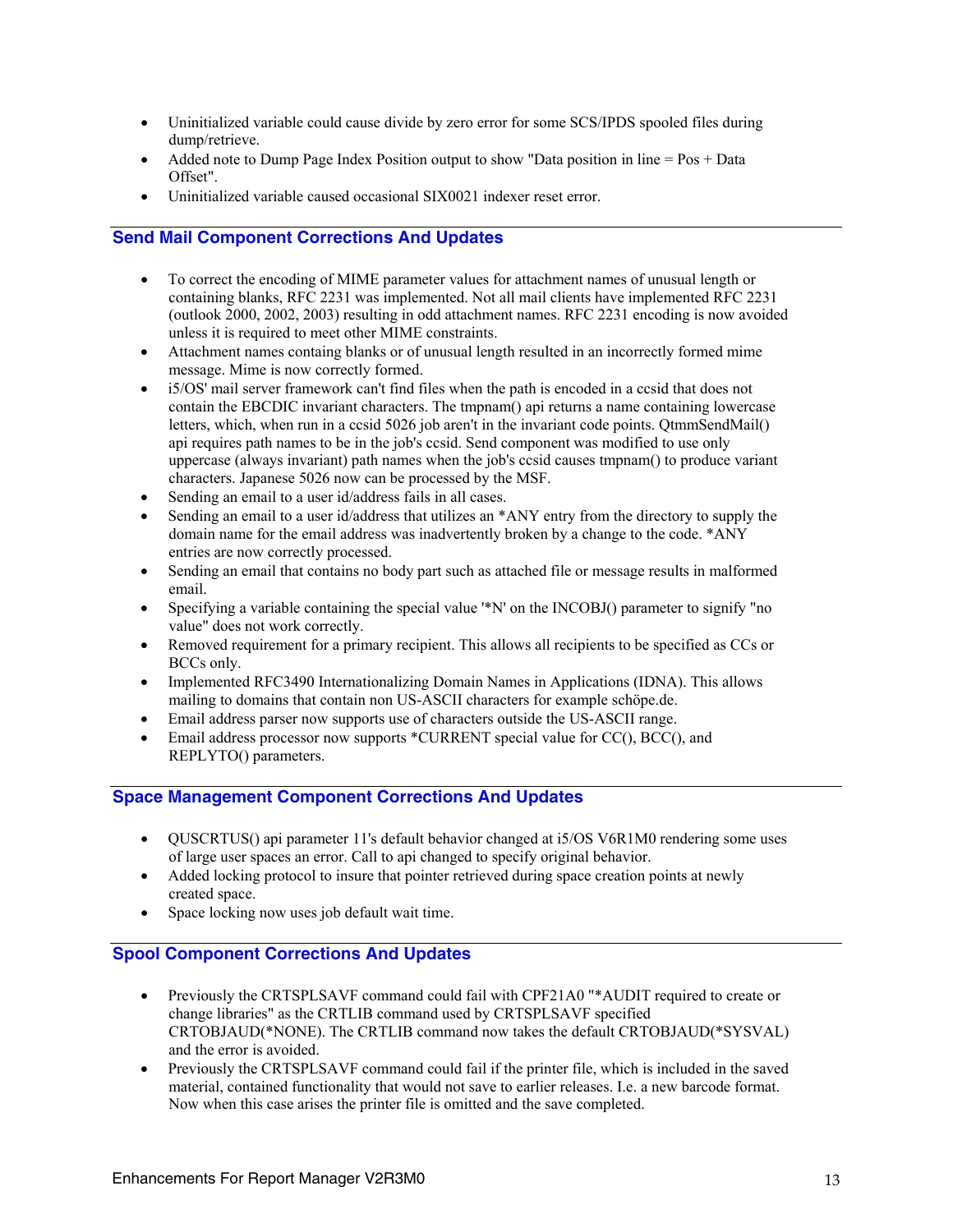- Uninitialized variable could cause divide by zero error for some SCS/IPDS spooled files during dump/retrieve.
- Added note to Dump Page Index Position output to show "Data position in line = Pos + Data Offset".
- Uninitialized variable caused occasional SIX0021 indexer reset error.

#### <span id="page-12-0"></span>**Send Mail Component Corrections And Updates**

- To correct the encoding of MIME parameter values for attachment names of unusual length or containing blanks, RFC 2231 was implemented. Not all mail clients have implemented RFC 2231 (outlook 2000, 2002, 2003) resulting in odd attachment names. RFC 2231 encoding is now avoided unless it is required to meet other MIME constraints.
- Attachment names containg blanks or of unusual length resulted in an incorrectly formed mime message. Mime is now correctly formed.
- i5/OS' mail server framework can't find files when the path is encoded in a ccsid that does not contain the EBCDIC invariant characters. The tmpnam() api returns a name containing lowercase letters, which, when run in a ccsid 5026 job aren't in the invariant code points. QtmmSendMail() api requires path names to be in the job's ccsid. Send component was modified to use only uppercase (always invariant) path names when the job's ccsid causes tmpnam() to produce variant characters. Japanese 5026 now can be processed by the MSF.
- Sending an email to a user id/address fails in all cases.
- Sending an email to a user id/address that utilizes an \*ANY entry from the directory to supply the domain name for the email address was inadvertently broken by a change to the code. \*ANY entries are now correctly processed.
- Sending an email that contains no body part such as attached file or message results in malformed email.
- Specifying a variable containing the special value '\*N' on the INCOBJ() parameter to signify "no value" does not work correctly.
- Removed requirement for a primary recipient. This allows all recipients to be specified as CCs or BCCs only.
- Implemented RFC3490 Internationalizing Domain Names in Applications (IDNA). This allows mailing to domains that contain non US-ASCII characters for example schöpe.de.
- Email address parser now supports use of characters outside the US-ASCII range.
- Email address processor now supports \*CURRENT special value for CC(), BCC(), and REPLYTO() parameters.

#### <span id="page-12-1"></span>**Space Management Component Corrections And Updates**

- QUSCRTUS() api parameter 11's default behavior changed at i5/OS V6R1M0 rendering some uses of large user spaces an error. Call to api changed to specify original behavior.
- Added locking protocol to insure that pointer retrieved during space creation points at newly created space.
- Space locking now uses job default wait time.

# <span id="page-12-2"></span>**Spool Component Corrections And Updates**

- Previously the CRTSPLSAVF command could fail with CPF21A0 "\*AUDIT required to create or change libraries" as the CRTLIB command used by CRTSPLSAVF specified CRTOBJAUD(\*NONE). The CRTLIB command now takes the default CRTOBJAUD(\*SYSVAL) and the error is avoided.
- Previously the CRTSPLSAVF command could fail if the printer file, which is included in the saved material, contained functionality that would not save to earlier releases. I.e. a new barcode format. Now when this case arises the printer file is omitted and the save completed.